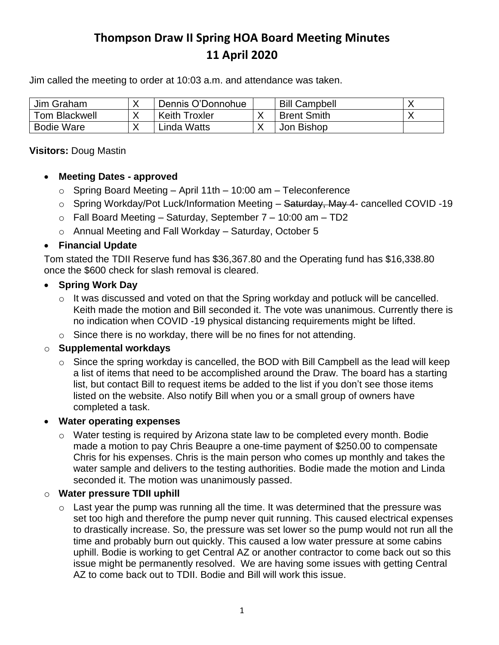# **Thompson Draw II Spring HOA Board Meeting Minutes 11 April 2020**

Jim called the meeting to order at 10:03 a.m. and attendance was taken.

| Jim Graham    | Dennis O'Donnohue    | <b>Bill Campbell</b> |  |
|---------------|----------------------|----------------------|--|
| Tom Blackwell | <b>Keith Troxler</b> | <b>Brent Smith</b>   |  |
| Bodie Ware    | Linda Watts          | Jon Bishop           |  |

#### **Visitors:** Doug Mastin

### • **Meeting Dates - approved**

- $\circ$  Spring Board Meeting April 11th 10:00 am Teleconference
- o Spring Workday/Pot Luck/Information Meeting Saturday, May 4- cancelled COVID -19
- $\circ$  Fall Board Meeting Saturday, September 7 10:00 am TD2
- o Annual Meeting and Fall Workday Saturday, October 5

## • **Financial Update**

Tom stated the TDII Reserve fund has \$36,367.80 and the Operating fund has \$16,338.80 once the \$600 check for slash removal is cleared.

### • **Spring Work Day**

- o It was discussed and voted on that the Spring workday and potluck will be cancelled. Keith made the motion and Bill seconded it. The vote was unanimous. Currently there is no indication when COVID -19 physical distancing requirements might be lifted.
- $\circ$  Since there is no workday, there will be no fines for not attending.

## o **Supplemental workdays**

 $\circ$  Since the spring workday is cancelled, the BOD with Bill Campbell as the lead will keep a list of items that need to be accomplished around the Draw. The board has a starting list, but contact Bill to request items be added to the list if you don't see those items listed on the website. Also notify Bill when you or a small group of owners have completed a task.

## • **Water operating expenses**

o Water testing is required by Arizona state law to be completed every month. Bodie made a motion to pay Chris Beaupre a one-time payment of \$250.00 to compensate Chris for his expenses. Chris is the main person who comes up monthly and takes the water sample and delivers to the testing authorities. Bodie made the motion and Linda seconded it. The motion was unanimously passed.

#### o **Water pressure TDII uphill**

 $\circ$  Last year the pump was running all the time. It was determined that the pressure was set too high and therefore the pump never quit running. This caused electrical expenses to drastically increase. So, the pressure was set lower so the pump would not run all the time and probably burn out quickly. This caused a low water pressure at some cabins uphill. Bodie is working to get Central AZ or another contractor to come back out so this issue might be permanently resolved. We are having some issues with getting Central AZ to come back out to TDII. Bodie and Bill will work this issue.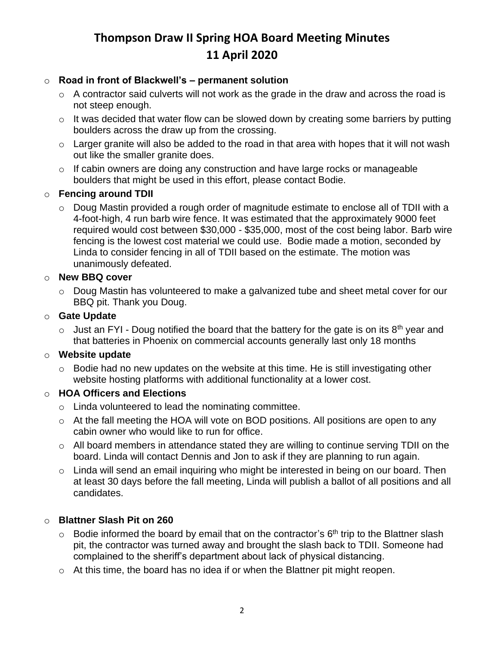# **Thompson Draw II Spring HOA Board Meeting Minutes 11 April 2020**

### o **Road in front of Blackwell's – permanent solution**

- $\circ$  A contractor said culverts will not work as the grade in the draw and across the road is not steep enough.
- o It was decided that water flow can be slowed down by creating some barriers by putting boulders across the draw up from the crossing.
- $\circ$  Larger granite will also be added to the road in that area with hopes that it will not wash out like the smaller granite does.
- o If cabin owners are doing any construction and have large rocks or manageable boulders that might be used in this effort, please contact Bodie.

## o **Fencing around TDII**

o Doug Mastin provided a rough order of magnitude estimate to enclose all of TDII with a 4-foot-high, 4 run barb wire fence. It was estimated that the approximately 9000 feet required would cost between \$30,000 - \$35,000, most of the cost being labor. Barb wire fencing is the lowest cost material we could use. Bodie made a motion, seconded by Linda to consider fencing in all of TDII based on the estimate. The motion was unanimously defeated.

### o **New BBQ cover**

o Doug Mastin has volunteered to make a galvanized tube and sheet metal cover for our BBQ pit. Thank you Doug.

### o **Gate Update**

 $\circ$  Just an FYI - Doug notified the board that the battery for the gate is on its 8<sup>th</sup> year and that batteries in Phoenix on commercial accounts generally last only 18 months

#### o **Website update**

 $\circ$  Bodie had no new updates on the website at this time. He is still investigating other website hosting platforms with additional functionality at a lower cost.

#### o **HOA Officers and Elections**

- o Linda volunteered to lead the nominating committee.
- $\circ$  At the fall meeting the HOA will vote on BOD positions. All positions are open to any cabin owner who would like to run for office.
- o All board members in attendance stated they are willing to continue serving TDII on the board. Linda will contact Dennis and Jon to ask if they are planning to run again.
- o Linda will send an email inquiring who might be interested in being on our board. Then at least 30 days before the fall meeting, Linda will publish a ballot of all positions and all candidates.

## o **Blattner Slash Pit on 260**

- $\circ$  Bodie informed the board by email that on the contractor's  $6<sup>th</sup>$  trip to the Blattner slash pit, the contractor was turned away and brought the slash back to TDII. Someone had complained to the sheriff's department about lack of physical distancing.
- $\circ$  At this time, the board has no idea if or when the Blattner pit might reopen.